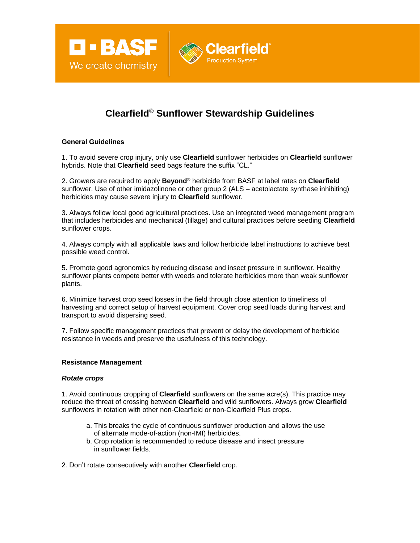

# **Clearfield**® **Sunflower Stewardship Guidelines**

**Clearfield** 

## **General Guidelines**

1. To avoid severe crop injury, only use **Clearfield** sunflower herbicides on **Clearfield** sunflower hybrids. Note that **Clearfield** seed bags feature the suffix "CL."

2. Growers are required to apply **Beyond**® herbicide from BASF at label rates on **Clearfield**  sunflower. Use of other imidazolinone or other group 2 (ALS – acetolactate synthase inhibiting) herbicides may cause severe injury to **Clearfield** sunflower.

3. Always follow local good agricultural practices. Use an integrated weed management program that includes herbicides and mechanical (tillage) and cultural practices before seeding **Clearfield**  sunflower crops.

4. Always comply with all applicable laws and follow herbicide label instructions to achieve best possible weed control.

5. Promote good agronomics by reducing disease and insect pressure in sunflower. Healthy sunflower plants compete better with weeds and tolerate herbicides more than weak sunflower plants.

6. Minimize harvest crop seed losses in the field through close attention to timeliness of harvesting and correct setup of harvest equipment. Cover crop seed loads during harvest and transport to avoid dispersing seed.

7. Follow specific management practices that prevent or delay the development of herbicide resistance in weeds and preserve the usefulness of this technology.

### **Resistance Management**

#### *Rotate crops*

1. Avoid continuous cropping of **Clearfield** sunflowers on the same acre(s). This practice may reduce the threat of crossing between **Clearfield** and wild sunflowers. Always grow **Clearfield**  sunflowers in rotation with other non-Clearfield or non-Clearfield Plus crops.

- a. This breaks the cycle of continuous sunflower production and allows the use of alternate mode-of-action (non-IMI) herbicides.
- b. Crop rotation is recommended to reduce disease and insect pressure in sunflower fields.

2. Don't rotate consecutively with another **Clearfield** crop.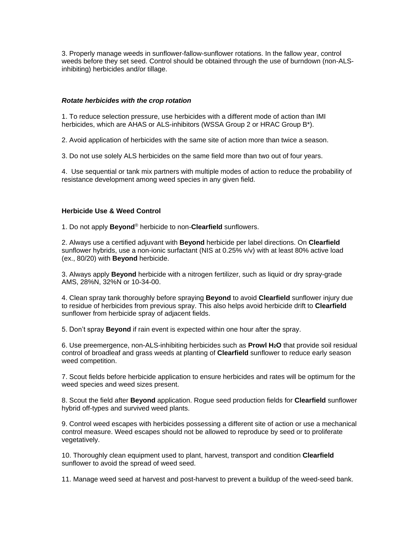3. Properly manage weeds in sunflower-fallow-sunflower rotations. In the fallow year, control weeds before they set seed. Control should be obtained through the use of burndown (non-ALSinhibiting) herbicides and/or tillage.

## *Rotate herbicides with the crop rotation*

1. To reduce selection pressure, use herbicides with a different mode of action than IMI herbicides, which are AHAS or ALS-inhibitors (WSSA Group 2 or HRAC Group B\*).

2. Avoid application of herbicides with the same site of action more than twice a season.

3. Do not use solely ALS herbicides on the same field more than two out of four years.

4. Use sequential or tank mix partners with multiple modes of action to reduce the probability of resistance development among weed species in any given field.

# **Herbicide Use & Weed Control**

1. Do not apply **Beyond**® herbicide to non-**Clearfield** sunflowers.

2. Always use a certified adjuvant with **Beyond** herbicide per label directions. On **Clearfield**  sunflower hybrids, use a non-ionic surfactant (NIS at 0.25% v/v) with at least 80% active load (ex., 80/20) with **Beyond** herbicide.

3. Always apply **Beyond** herbicide with a nitrogen fertilizer, such as liquid or dry spray-grade AMS, 28%N, 32%N or 10-34-00.

4. Clean spray tank thoroughly before spraying **Beyond** to avoid **Clearfield** sunflower injury due to residue of herbicides from previous spray. This also helps avoid herbicide drift to **Clearfield**  sunflower from herbicide spray of adjacent fields.

5. Don't spray **Beyond** if rain event is expected within one hour after the spray.

6. Use preemergence, non-ALS-inhibiting herbicides such as **Prowl H2O** that provide soil residual control of broadleaf and grass weeds at planting of **Clearfield** sunflower to reduce early season weed competition.

7. Scout fields before herbicide application to ensure herbicides and rates will be optimum for the weed species and weed sizes present.

8. Scout the field after **Beyond** application. Rogue seed production fields for **Clearfield** sunflower hybrid off-types and survived weed plants.

9. Control weed escapes with herbicides possessing a different site of action or use a mechanical control measure. Weed escapes should not be allowed to reproduce by seed or to proliferate vegetatively.

10. Thoroughly clean equipment used to plant, harvest, transport and condition **Clearfield**  sunflower to avoid the spread of weed seed.

11. Manage weed seed at harvest and post-harvest to prevent a buildup of the weed-seed bank.